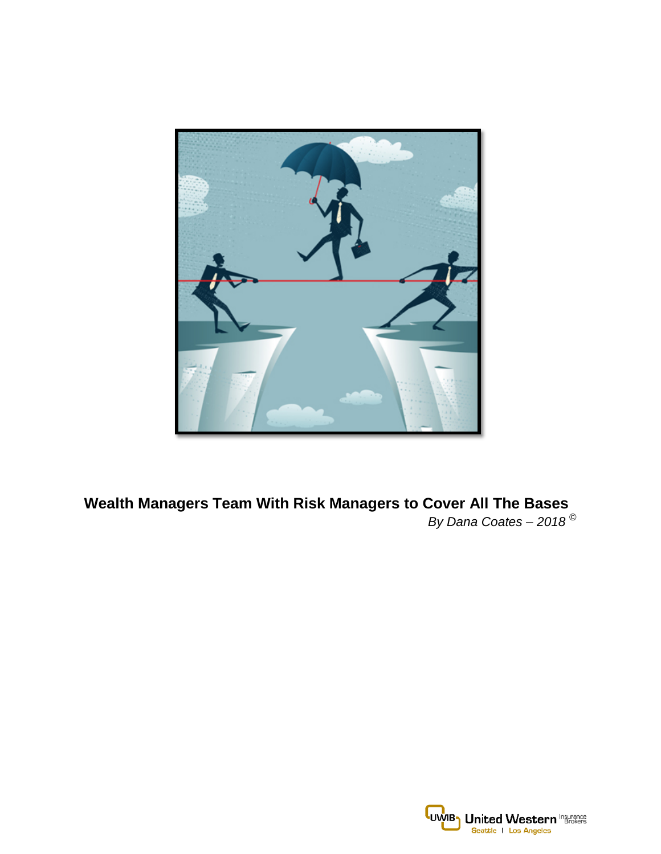

**Wealth Managers Team With Risk Managers to Cover All The Bases** *By Dana Coates – 2018 ©*

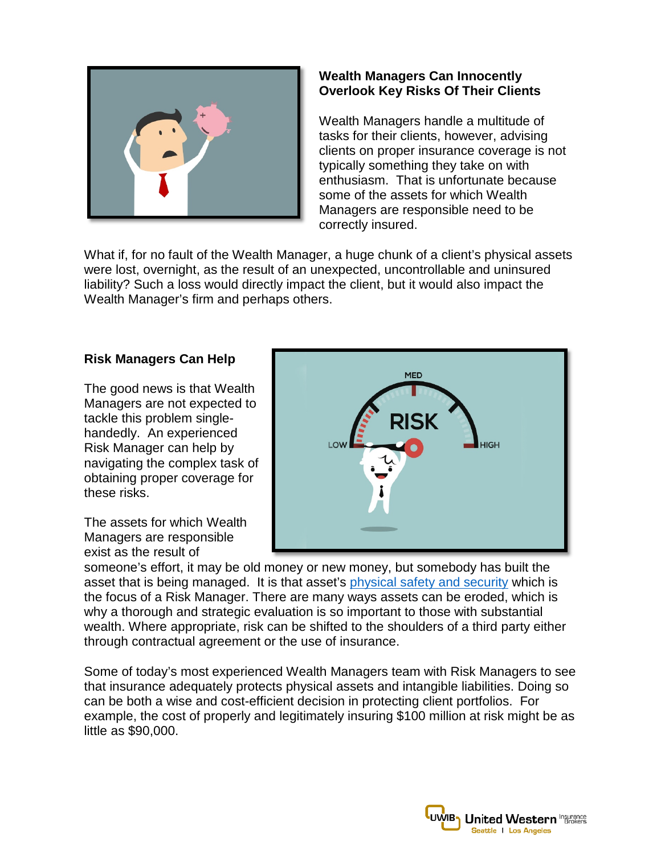

# **Wealth Managers Can Innocently Overlook Key Risks Of Their Clients**

Wealth Managers handle a multitude of tasks for their clients, however, advising clients on proper insurance coverage is not typically something they take on with enthusiasm. That is unfortunate because some of the assets for which Wealth Managers are responsible need to be correctly insured.

What if, for no fault of the Wealth Manager, a huge chunk of a client's physical assets were lost, overnight, as the result of an unexpected, uncontrollable and uninsured liability? Such a loss would directly impact the client, but it would also impact the Wealth Manager's firm and perhaps others.

### **Risk Managers Can Help**

The good news is that Wealth Managers are not expected to tackle this problem singlehandedly. An experienced Risk Manager can help by navigating the complex task of obtaining proper coverage for these risks.

The assets for which Wealth Managers are responsible exist as the result of



someone's effort, it may be old money or new money, but somebody has built the asset that is being managed. It is that asset's [physical safety and security](http://uwib.com/Why-Confidentiality-Agreements-Are-A-Must) which is the focus of a Risk Manager. There are many ways assets can be eroded, which is why a thorough and strategic evaluation is so important to those with substantial wealth. Where appropriate, risk can be shifted to the shoulders of a third party either through contractual agreement or the use of insurance.

Some of today's most experienced Wealth Managers team with Risk Managers to see that insurance adequately protects physical assets and intangible liabilities. Doing so can be both a wise and cost-efficient decision in protecting client portfolios. For example, the cost of properly and legitimately insuring \$100 million at risk might be as little as \$90,000.

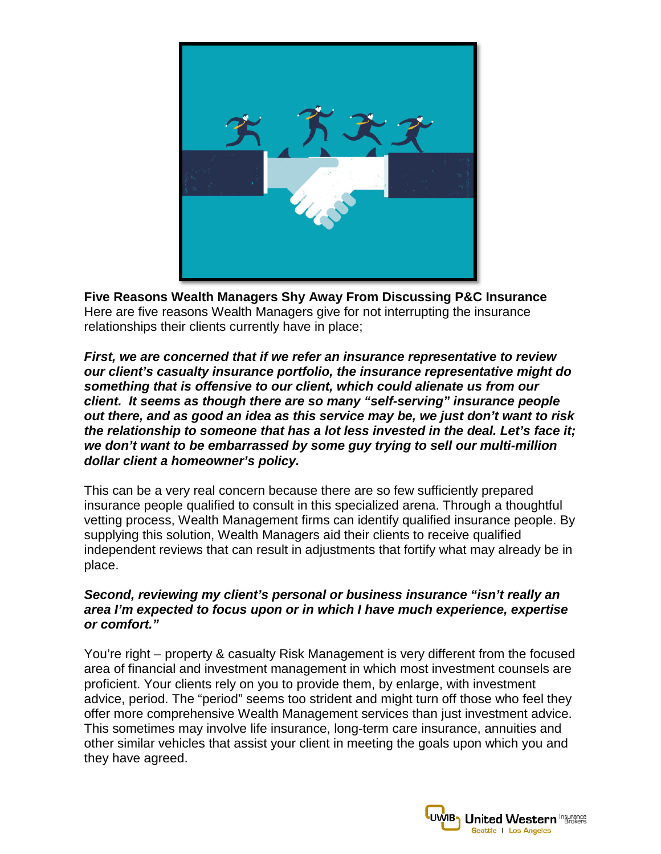

**Five Reasons Wealth Managers Shy Away From Discussing P&C Insurance** Here are five reasons Wealth Managers give for not interrupting the insurance relationships their clients currently have in place;

*First, we are concerned that if we refer an insurance representative to review our client's casualty insurance portfolio, the insurance representative might do something that is offensive to our client, which could alienate us from our client. It seems as though there are so many "self-serving" insurance people out there, and as good an idea as this service may be, we just don't want to risk the relationship to someone that has a lot less invested in the deal. Let's face it; we don't want to be embarrassed by some guy trying to sell our multi-million dollar client a homeowner's policy.*

This can be a very real concern because there are so few sufficiently prepared insurance people qualified to consult in this specialized arena. Through a thoughtful vetting process, Wealth Management firms can identify qualified insurance people. By supplying this solution, Wealth Managers aid their clients to receive qualified independent reviews that can result in adjustments that fortify what may already be in place.

### *Second, reviewing my client's personal or business insurance "isn't really an area I'm expected to focus upon or in which I have much experience, expertise or comfort."*

You're right – property & casualty Risk Management is very different from the focused area of financial and investment management in which most investment counsels are proficient. Your clients rely on you to provide them, by enlarge, with investment advice, period. The "period" seems too strident and might turn off those who feel they offer more comprehensive Wealth Management services than just investment advice. This sometimes may involve life insurance, long-term care insurance, annuities and other similar vehicles that assist your client in meeting the goals upon which you and they have agreed.

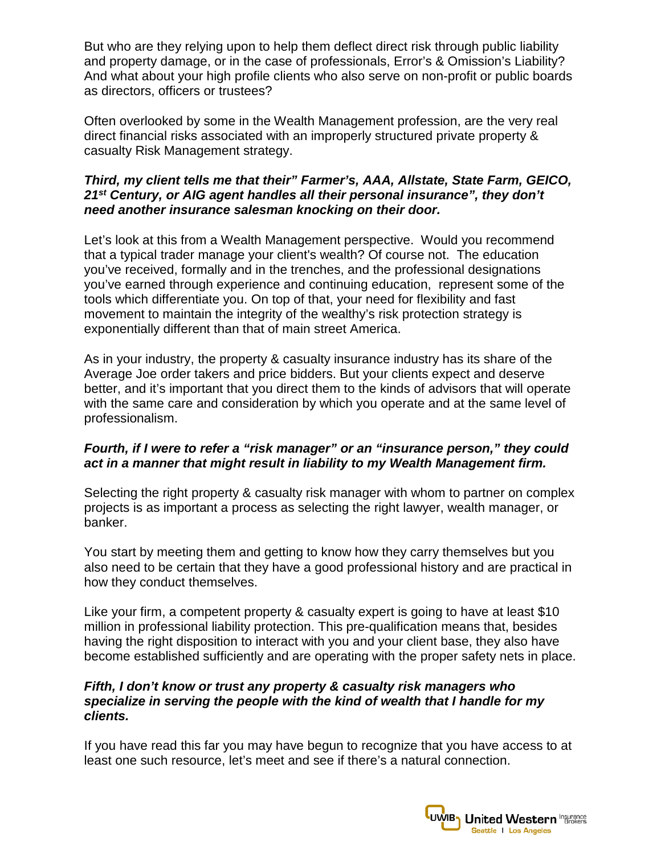But who are they relying upon to help them deflect direct risk through public liability and property damage, or in the case of professionals, Error's & Omission's Liability? And what about your high profile clients who also serve on non-profit or public boards as directors, officers or trustees?

Often overlooked by some in the Wealth Management profession, are the very real direct financial risks associated with an improperly structured private property & casualty Risk Management strategy.

## *Third, my client tells me that their" Farmer's, AAA, Allstate, State Farm, GEICO, 21st Century, or AIG agent handles all their personal insurance", they don't need another insurance salesman knocking on their door.*

Let's look at this from a Wealth Management perspective. Would you recommend that a typical trader manage your client's wealth? Of course not. The education you've received, formally and in the trenches, and the professional designations you've earned through experience and continuing education, represent some of the tools which differentiate you. On top of that, your need for flexibility and fast movement to maintain the integrity of the wealthy's risk protection strategy is exponentially different than that of main street America.

As in your industry, the property & casualty insurance industry has its share of the Average Joe order takers and price bidders. But your clients expect and deserve better, and it's important that you direct them to the kinds of advisors that will operate with the same care and consideration by which you operate and at the same level of professionalism.

### *Fourth, if I were to refer a "risk manager" or an "insurance person," they could act in a manner that might result in liability to my Wealth Management firm.*

Selecting the right property & casualty risk manager with whom to partner on complex projects is as important a process as selecting the right lawyer, wealth manager, or banker.

You start by meeting them and getting to know how they carry themselves but you also need to be certain that they have a good professional history and are practical in how they conduct themselves.

Like your firm, a competent property & casualty expert is going to have at least \$10 million in professional liability protection. This pre-qualification means that, besides having the right disposition to interact with you and your client base, they also have become established sufficiently and are operating with the proper safety nets in place.

### *Fifth, I don't know or trust any property & casualty risk managers who specialize in serving the people with the kind of wealth that I handle for my clients.*

If you have read this far you may have begun to recognize that you have access to at least one such resource, let's meet and see if there's a natural connection.